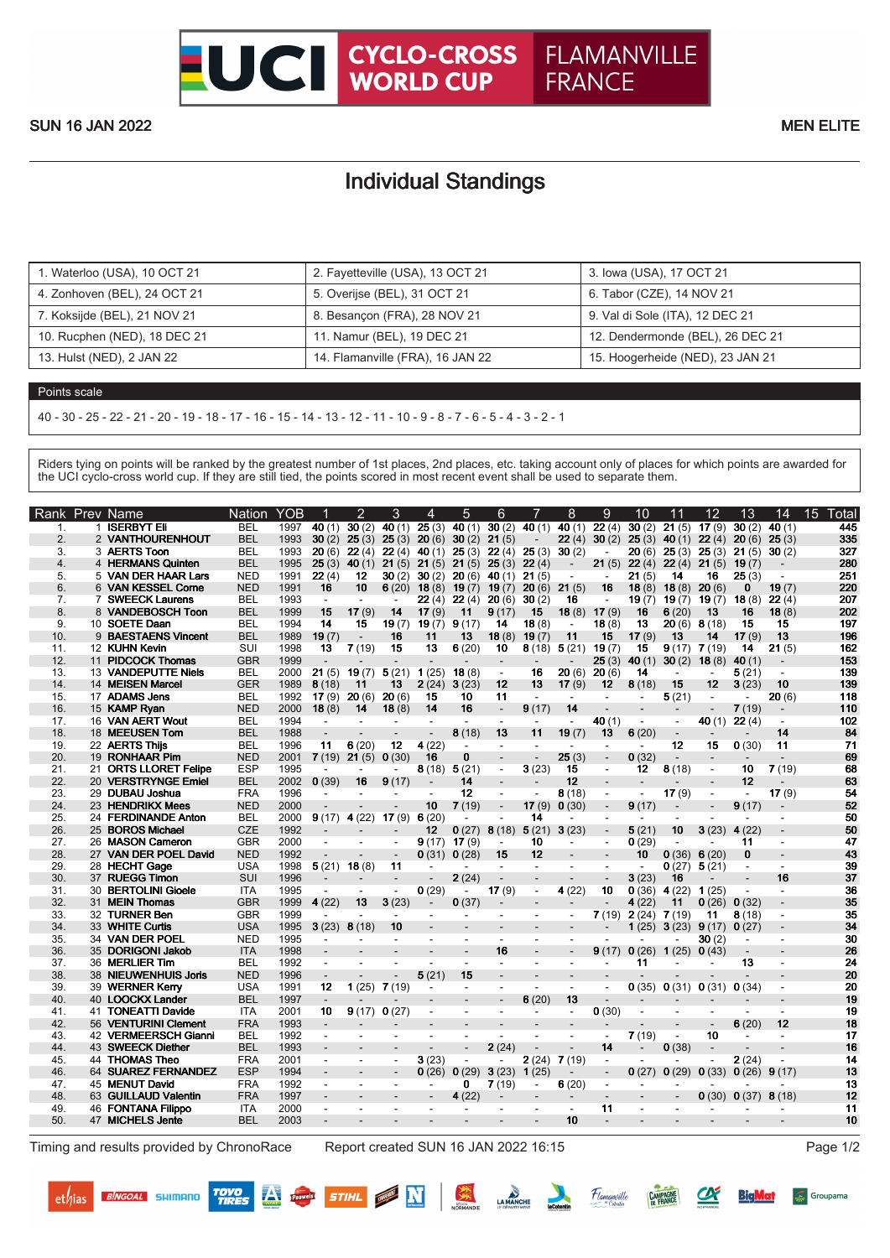## Individual Standings

| 1. Waterloo (USA), 10 OCT 21 | 2. Fayetteville (USA), 13 OCT 21 | 3. Iowa (USA), 17 OCT 21         |
|------------------------------|----------------------------------|----------------------------------|
| 4. Zonhoven (BEL), 24 OCT 21 | 5. Overijse (BEL), 31 OCT 21     | 6. Tabor (CZE), 14 NOV 21        |
| 7. Koksijde (BEL), 21 NOV 21 | 8. Besançon (FRA), 28 NOV 21     | 9. Val di Sole (ITA), 12 DEC 21  |
| 10. Rucphen (NED), 18 DEC 21 | 11. Namur (BEL), 19 DEC 21       | 12. Dendermonde (BEL), 26 DEC 21 |
| 13. Hulst (NED), 2 JAN 22    | 14. Flamanville (FRA), 16 JAN 22 | 15. Hoogerheide (NED), 23 JAN 21 |

## Points scale

40 - 30 - 25 - 22 - 21 - 20 - 19 - 18 - 17 - 16 - 15 - 14 - 13 - 12 - 11 - 10 - 9 - 8 - 7 - 6 - 5 - 4 - 3 - 2 - 1

Riders tying on points will be ranked by the greatest number of 1st places, 2nd places, etc. taking account only of places for which points are awarded for the UCI cyclo-cross world cup. If they are still tied, the points scored in most recent event shall be used to separate them.

| <b>Rank</b>    | <b>Prev Name</b>      | <b>Nation</b> | <b>YOB</b> |                          | $\overline{2}$           | 3                            | 4                        | 5                        | 6                        |                          | 8                        | 9                        | 10                       | 11                       | 12                       | 13                       | 14                       | 15<br>Total |
|----------------|-----------------------|---------------|------------|--------------------------|--------------------------|------------------------------|--------------------------|--------------------------|--------------------------|--------------------------|--------------------------|--------------------------|--------------------------|--------------------------|--------------------------|--------------------------|--------------------------|-------------|
| 1.             | 1 ISERBYT Eli         | <b>BEL</b>    | 1997       | 40 $(1)$                 | 30(2)                    | 40 $(1)$                     | 25(3)                    | 40 $(1)$                 | 30(2)                    | 40 $(1)$                 | 40(1)                    | 22(4)                    | 30(2)                    | 21(5)                    | 17(9)                    | 30(2)                    | 40(1)                    | 445         |
| 2.             | 2 VANTHOURENHOUT      | <b>BEL</b>    | 1993       | 30(2)                    | 25(3)                    | 25(3)                        |                          | $20(6)$ 30(2)            | 21(5)                    |                          | 22(4)                    | 30(2)                    | 25(3)                    | 40 $(1)$                 | 22(4)                    | 20(6)                    | 25(3)                    | 335         |
| 3.             | 3 AERTS Toon          | <b>BEL</b>    | 1993       | 20(6)                    | 22(4)                    | 22(4)                        | 40 $(1)$                 | 25(3)                    | 22(4)                    | 25(3)                    | 30(2)                    | $\overline{\phantom{a}}$ | 20 (6)                   | 25(3)                    | 25(3)                    | 21(5)                    | 30(2)                    | 327         |
| 4.             | 4 HERMANS Quinten     | <b>BEL</b>    | 1995       | 25(3)                    | 40 $(1)$                 | 21(5)                        | 21(5)                    | 21(5)                    | 25(3)                    | 22(4)                    | $\overline{\phantom{a}}$ | 21(5)                    | 22(4)                    |                          | $22(4)$ 21(5)            | 19(7)                    |                          | 280         |
| 5.             | 5 VAN DER HAAR Lars   | <b>NED</b>    | 1991       | 22(4)                    | 12                       | 30(2)                        | 30(2)                    | 20(6)                    | 40 $(1)$                 | 21(5)                    | $\blacksquare$           | $\blacksquare$           | 21(5)                    | 14                       | 16                       | 25(3)                    | $\overline{a}$           | 251         |
| 6.             | 6 VAN KESSEL Corne    | <b>NED</b>    | 1991       | 16                       | 10                       | 6(20)                        | 18(8)                    | 19 $(7)$                 | 19(7)                    | 20(6)                    | 21(5)                    | 16                       | 18(8)                    | 18(8)                    | 20(6)                    | 0                        | 19(7)                    | 220         |
| 7 <sub>1</sub> | 7 SWEECK Laurens      | <b>BEL</b>    | 1993       | $\mathbf{r}$             | $\sim$                   | $\blacksquare$               | 22(4)                    | 22(4)                    | 20(6)                    | 30(2)                    | 16                       | $\sim$                   | 19(7)                    | 19(7)                    | 19(7)                    | 18(8)                    | 22(4)                    | 207         |
| 8.             | 8 VANDEBOSCH Toon     | <b>BEL</b>    | 1999       | 15                       | 17(9)                    | 14                           | 17(9)                    | 11                       | 9(17)                    | 15                       | 18(8)                    | 17(9)                    | 16                       | 6(20)                    | 13                       | 16                       | 18(8)                    | 202         |
| 9.             | 10 SOETE Daan         | <b>BEL</b>    | 1994       | 14                       | 15                       | 19(7)                        | $19(7)$ 9(17)            |                          | 14                       | 18(8)                    | $\overline{\phantom{a}}$ | 18(8)                    | 13                       | 20(6)                    | 8(18)                    | 15                       | 15                       | 197         |
| 10.            | 9 BAESTAENS Vincent   | <b>BEL</b>    | 1989       | 19(7)                    |                          | 16                           | 11                       | 13                       | 18(8)                    | 19(7)                    | 11                       | 15                       | 17(9)                    | 13                       | 14                       | 17(9)                    | 13                       | 196         |
| 11.            | 12 KUHN Kevin         | SUI           | 1998       | 13                       | 7(19)                    | 15                           | 13                       | 6(20)                    | 10                       |                          | $8(18)$ 5(21)            | 19 $(7)$                 | 15                       | 9(17)                    | 7(19)                    | 14                       | 21(5)                    | 162         |
| 12.            | 11 PIDCOCK Thomas     | <b>GBR</b>    | 1999       |                          |                          |                              |                          | $\overline{a}$           |                          |                          |                          | 25(3)                    | 40 $(1)$                 | 30(2)                    | 18(8)                    | 40(1)                    | $\overline{\phantom{a}}$ | 153         |
| 13.            | 13 VANDEPUTTE Niels   | <b>BEL</b>    | 2000       | 21(5)                    | 19(7)                    | $5(21)$ 1(25)                |                          | 18(8)                    | $\sim$                   | 16                       | 20(6)                    | 20(6)                    | 14                       | $\sim$                   | $\sim$                   | 5(21)                    | $\overline{a}$           | 139         |
| 14.            | 14 MEISEN Marcel      | <b>GER</b>    | 1989       | 8(18)                    | 11                       | 13                           | 2(24)                    | 3(23)                    | 12                       | 13                       | 17(9)                    | $12 \,$                  | 8(18)                    | 15                       | 12                       | 3(23)                    | 10                       | 139         |
| 15.            | 17 ADAMS Jens         | <b>BEL</b>    | 1992       | 17(9)                    | 20(6)                    | 20(6)                        | 15                       | 10                       | 11                       | $\sim$                   | $\sim$                   |                          | $\overline{\phantom{a}}$ | 5(21)                    | $\blacksquare$           | $\blacksquare$           | 20(6)                    | 118         |
| 16.            | 15 KAMP Ryan          | <b>NED</b>    | 2000       | 18(8)                    | 14                       | 18(8)                        | 14                       | 16                       | $\overline{a}$           | 9(17)                    | 14                       |                          |                          | $\overline{\phantom{a}}$ |                          | 7(19)                    |                          | 110         |
| 17.            | 16 VAN AERT Wout      | <b>BEL</b>    | 1994       | $\sim$                   |                          |                              | $\sim$                   |                          | $\blacksquare$           | $\overline{\phantom{a}}$ | $\overline{\phantom{a}}$ | 40(1)                    | $\overline{\phantom{a}}$ | $\overline{\phantom{a}}$ | 40 $(1)$                 | 22(4)                    | $\blacksquare$           | 102         |
| 18.            | 18 MEEUSEN Tom        | <b>BEL</b>    | 1988       |                          |                          |                              |                          | 8(18)                    | 13                       | 11                       | 19(7)                    | 13                       | 6(20)                    | $\overline{\phantom{a}}$ |                          |                          | 14                       | 84          |
| 19.            | 22 AERTS Thiis        | <b>BEL</b>    | 1996       | 11                       | 6(20)                    | 12                           | 4(22)                    | $\blacksquare$           | $\overline{\phantom{a}}$ |                          | $\overline{a}$           |                          | $\overline{\phantom{a}}$ | 12                       | 15                       | 0(30)                    | 11                       | 71          |
| 20.            | 19 RONHAAR Pim        | <b>NED</b>    | 2001       |                          | $7(19)$ 21(5)            | 0(30)                        | 16                       | 0                        |                          |                          | 25(3)                    |                          | 0(32)                    | $\overline{\phantom{a}}$ |                          |                          |                          | 69          |
| 21.            | 21 ORTS LLORET Felipe | <b>ESP</b>    | 1995       | $\sim$                   |                          | $\qquad \qquad \blacksquare$ | 8(18)                    | 5(21)                    | $\overline{\phantom{a}}$ | 3(23)                    | 15                       | $\blacksquare$           | 12                       | 8(18)                    | $\blacksquare$           | 10                       | 7(19)                    | 68          |
| 22.            | 20 VERSTRYNGE Emiel   | <b>BEL</b>    | 2002       | 0(39)                    | 16                       | 9(17)                        | $\overline{a}$           | 14                       | $\overline{\phantom{a}}$ |                          | 12                       |                          |                          |                          |                          | 12                       |                          | 63          |
| 23.            | 29 DUBAU Joshua       | <b>FRA</b>    | 1996       | $\overline{\phantom{a}}$ | $\overline{\phantom{a}}$ | $\overline{\phantom{a}}$     | $\overline{\phantom{a}}$ | 12                       | $\overline{\phantom{a}}$ |                          | 8(18)                    | $\blacksquare$           | $\overline{\phantom{a}}$ | 17(9)                    | $\overline{\phantom{a}}$ | $\overline{\phantom{a}}$ | 17(9)                    | 54          |
| 24.            | 23 HENDRIKX Mees      | <b>NED</b>    | 2000       |                          |                          |                              | 10                       | 7(19)                    | $\overline{a}$           | 17(9)                    | 0(30)                    |                          | 9(17)                    | $\overline{\phantom{a}}$ | $\blacksquare$           | 9(17)                    |                          | 52          |
| 25.            | 24 FERDINANDE Anton   | <b>BEL</b>    | 2000       |                          | $9(17)$ 4 (22)           | 17 $(9)$ 6 $(20)$            |                          |                          | $\blacksquare$           | 14                       |                          | $\overline{\phantom{a}}$ | $\overline{\phantom{a}}$ |                          |                          | $\overline{\phantom{a}}$ | $\overline{\phantom{a}}$ | 50          |
| 26.            | 25 BOROS Michael      | <b>CZE</b>    | 1992       | $\overline{\phantom{a}}$ |                          |                              | 12 <sup>2</sup>          | 0(27)                    | 8(18)                    | 5(21)                    | 3(23)                    |                          | 5(21)                    | 10                       | 3(23)                    | 4(22)                    |                          | 50          |
| 27.            | 26 MASON Cameron      | <b>GBR</b>    | 2000       | $\blacksquare$           |                          |                              | 9(17)                    | 17(9)                    | $\overline{\phantom{a}}$ | 10                       | $\overline{\phantom{a}}$ | $\overline{\phantom{a}}$ | 0(29)                    | $\overline{\phantom{a}}$ |                          | 11                       | $\overline{\phantom{a}}$ | 47          |
| 28.            | 27 VAN DER POEL David | <b>NED</b>    | 1992       |                          |                          | $\overline{a}$               | 0(31)                    | 0(28)                    | 15                       | 12                       |                          |                          | 10                       | 0(36)                    | 6(20)                    | $\mathbf{0}$             |                          | 43          |
| 29.            | 28 HECHT Gage         | <b>USA</b>    | 1998       | 5(21)                    | 18(8)                    | 11                           |                          | $\sim$                   | $\overline{\phantom{a}}$ | $\overline{\phantom{a}}$ | $\overline{\phantom{a}}$ | $\overline{\phantom{a}}$ | $\overline{\phantom{a}}$ | 0(27)                    | 5(21)                    |                          | $\overline{\phantom{a}}$ | 39          |
| 30.            | 37 RUEGG Timon        | SUI           | 1996       | $\overline{a}$           |                          | $\blacksquare$               | $\overline{a}$           | 2(24)                    |                          |                          | $\overline{a}$           | $\overline{\phantom{a}}$ | 3(23)                    | 16                       |                          | $\overline{\phantom{a}}$ | 16                       | 37          |
| 31.            | 30 BERTOLINI Gioele   | <b>ITA</b>    | 1995       | $\overline{a}$           |                          | $\blacksquare$               | 0(29)                    | $\sim$                   | 17(9)                    | $\overline{\phantom{a}}$ | 4(22)                    | 10                       | 0(36)                    | 4(22)                    | 1(25)                    |                          | $\sim$                   | 36          |
| 32.            | 31 MEIN Thomas        | <b>GBR</b>    | 1999       | 4(22)                    | 13                       | 3(23)                        | $\overline{\phantom{a}}$ | 0(37)                    |                          | $\overline{\phantom{a}}$ |                          |                          | 4(22)                    | 11                       | 0(26)                    | 0(32)                    | $\overline{\phantom{a}}$ | 35          |
| 33.            | 32 TURNER Ben         | <b>GBR</b>    | 1999       |                          | $\blacksquare$           | $\blacksquare$               | $\overline{\phantom{a}}$ | $\overline{\phantom{a}}$ | $\blacksquare$           | $\blacksquare$           | $\blacksquare$           | 7(19)                    | $2(24)$ 7 (19)           |                          | 11                       | 8(18)                    | $\blacksquare$           | 35          |
| 34.            | 33 WHITE Curtis       | <b>USA</b>    | 1995       | 3(23)                    | 8(18)                    | 10                           |                          |                          |                          |                          |                          |                          | 1(25)                    | 3(23)                    | 9(17)                    | 0(27)                    |                          | 34          |
| 35.            | 34 VAN DER POEL       | <b>NED</b>    | 1995       | $\sim$                   |                          | $\sim$                       | $\sim$                   | $\sim$                   | $\sim$                   | $\overline{\phantom{a}}$ |                          |                          |                          |                          | 30(2)                    |                          | $\blacksquare$           | 30          |
| 36.            | 35 DORIGONI Jakob     | <b>ITA</b>    | 1998       | $\overline{a}$           |                          |                              |                          |                          | 16                       |                          |                          | 9(17)                    | $0(26)$ 1(25)            |                          | 0(43)                    |                          |                          | 26          |
| 37.            | 36 MERLIER Tim        | <b>BEL</b>    | 1992       | $\blacksquare$           |                          | $\overline{a}$               | $\overline{a}$           | $\sim$                   | $\overline{\phantom{a}}$ | $\blacksquare$           | $\blacksquare$           |                          | 11                       |                          |                          | 13                       | $\blacksquare$           | 24          |
| 38.            | 38 NIEUWENHUIS Joris  | <b>NED</b>    | 1996       |                          |                          |                              | 5(21)                    | 15                       |                          |                          |                          |                          |                          |                          |                          |                          |                          | 20          |
| 39.            | 39 WERNER Kerry       | <b>USA</b>    | 1991       | 12                       | 1(25)                    | 7(19)                        | $\overline{\phantom{a}}$ | $\overline{\phantom{a}}$ | $\blacksquare$           | $\blacksquare$           | $\blacksquare$           | $\blacksquare$           | 0(35)                    |                          | 0(31) 0(31)              | 0(34)                    | $\blacksquare$           | 20          |
| 40.            | 40 LOOCKX Lander      | <b>BEL</b>    | 1997       | $\overline{\phantom{a}}$ |                          |                              |                          |                          |                          | 6(20)                    | 13                       | $\blacksquare$           |                          |                          |                          |                          |                          | 19          |
| 41.            | 41 TONEATTI Davide    | <b>ITA</b>    | 2001       | 10                       |                          | $9(17)$ 0(27)                | $\overline{\phantom{a}}$ | $\sim$                   | $\sim$                   | $\blacksquare$           | $\sim$                   | 0(30)                    | $\overline{\phantom{a}}$ | $\blacksquare$           |                          | $\overline{\phantom{a}}$ | $\overline{a}$           | 19          |
| 42.            | 56 VENTURINI Clement  | <b>FRA</b>    | 1993       |                          |                          |                              |                          |                          |                          |                          |                          |                          |                          |                          |                          | 6(20)                    | 12                       | 18          |
| 43.            | 42 VERMEERSCH Gianni  | <b>BEL</b>    | 1992       | $\blacksquare$           | $\blacksquare$           | $\overline{\phantom{a}}$     | $\overline{\phantom{a}}$ | $\overline{\phantom{a}}$ | $\blacksquare$           | $\blacksquare$           | $\blacksquare$           | $\overline{\phantom{a}}$ | 7(19)                    | $\sim$                   | 10                       | $\overline{\phantom{a}}$ | $\overline{a}$           | 17          |
| 44.            | 43 SWEECK Diether     | <b>BEL</b>    | 1993       |                          |                          |                              | $\overline{\phantom{0}}$ | $\overline{a}$           | 2(24)                    | $\overline{\phantom{a}}$ | $\overline{\phantom{0}}$ | 14                       |                          | 0(38)                    | $\overline{a}$           |                          |                          | 16          |
| 45.            | 44 THOMAS Theo        | <b>FRA</b>    | 2001       | $\blacksquare$           | $\overline{a}$           | $\blacksquare$               | 3(23)                    |                          |                          | 2(24)                    | 7(19)                    | $\overline{\phantom{a}}$ |                          | $\overline{a}$           |                          | 2(24)                    | $\blacksquare$           | 14          |
| 46.            | 64 SUAREZ FERNANDEZ   | <b>ESP</b>    | 1994       | $\overline{a}$           |                          | $\overline{\phantom{a}}$     | 0(26)                    | 0(29)                    | 3(23)                    | 1(25)                    |                          | $\blacksquare$           | 0(27)                    | 0(29)                    | 0(33)                    | 0(26)                    | 9(17)                    | 13          |
| 47.            | 45 MENUT David        | <b>FRA</b>    | 1992       | $\sim$                   | $\sim$                   | $\blacksquare$               | $\overline{\phantom{a}}$ | 0                        | 7(19)                    | $\blacksquare$           | 6(20)                    | $\overline{\phantom{a}}$ | $\overline{\phantom{a}}$ | ۰                        |                          |                          |                          | 13          |
| 48.            | 63 GUILLAUD Valentin  | <b>FRA</b>    | 1997       | $\overline{\phantom{a}}$ |                          | $\overline{\phantom{a}}$     | $\overline{\phantom{a}}$ | 4(22)                    |                          |                          | $\overline{\phantom{a}}$ |                          |                          |                          | 0(30)                    | 0(37)                    | 8(18)                    | 12          |
| 49.            | 46 FONTANA Filippo    | <b>ITA</b>    | 2000       | $\sim$                   | $\overline{a}$           | ÷                            | $\overline{\phantom{a}}$ |                          | $\overline{a}$           | $\sim$                   | $\overline{a}$           | 11                       | $\overline{\phantom{a}}$ | $\overline{a}$           |                          |                          |                          | 11          |
| 50.            | 47 MICHELS Jente      | <b>BEL</b>    | 2003       |                          |                          |                              |                          |                          |                          |                          | 10                       |                          |                          |                          |                          |                          |                          | 10          |
|                |                       |               |            |                          |                          |                              |                          |                          |                          |                          |                          |                          |                          |                          |                          |                          |                          |             |

Timing and results provided by ChronoRace Report created SUN 16 JAN 2022 16:15 Page 1/2

**TOYO<br>TIRES** 

繁

STIHL **MAN** 

LA MANCHE

Flamanville

Groupama

**BiaMat**